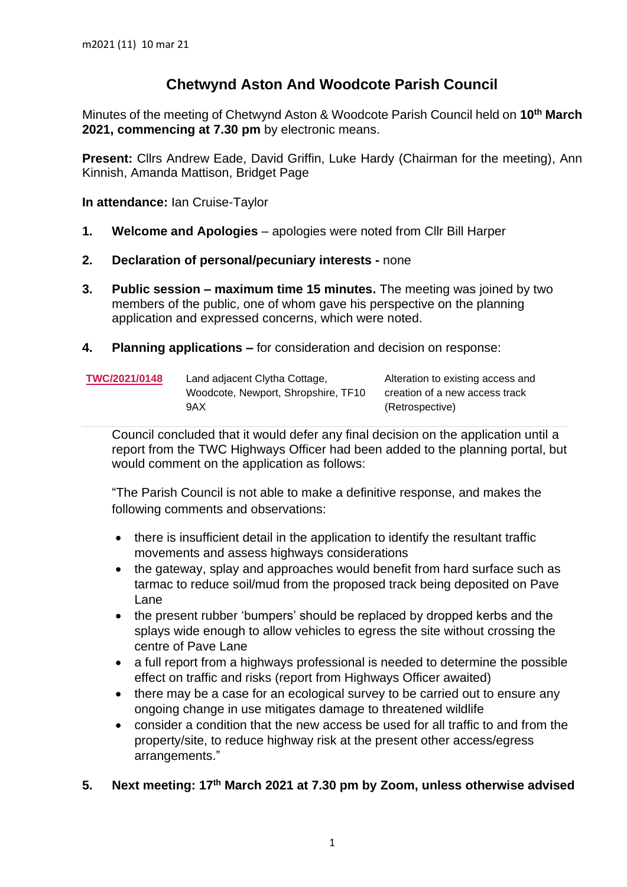## **Chetwynd Aston And Woodcote Parish Council**

Minutes of the meeting of Chetwynd Aston & Woodcote Parish Council held on **10 th March 2021, commencing at 7.30 pm** by electronic means.

**Present:** Cllrs Andrew Eade, David Griffin, Luke Hardy (Chairman for the meeting), Ann Kinnish, Amanda Mattison, Bridget Page

**In attendance:** Ian Cruise-Taylor

- **1. Welcome and Apologies** apologies were noted from Cllr Bill Harper
- **2. Declaration of personal/pecuniary interests -** none
- **3. Public session – maximum time 15 minutes.** The meeting was joined by two members of the public, one of whom gave his perspective on the planning application and expressed concerns, which were noted.
- **4. Planning applications –** for consideration and decision on response:

| TWC/2021/0148 | Land adjacent Clytha Cottage,       | Alteration to existing access and |
|---------------|-------------------------------------|-----------------------------------|
|               | Woodcote, Newport, Shropshire, TF10 | creation of a new access track    |
|               | 9AX                                 | (Retrospective)                   |

Council concluded that it would defer any final decision on the application until a report from the TWC Highways Officer had been added to the planning portal, but would comment on the application as follows:

"The Parish Council is not able to make a definitive response, and makes the following comments and observations:

- there is insufficient detail in the application to identify the resultant traffic movements and assess highways considerations
- the gateway, splay and approaches would benefit from hard surface such as tarmac to reduce soil/mud from the proposed track being deposited on Pave Lane
- the present rubber 'bumpers' should be replaced by dropped kerbs and the splays wide enough to allow vehicles to egress the site without crossing the centre of Pave Lane
- a full report from a highways professional is needed to determine the possible effect on traffic and risks (report from Highways Officer awaited)
- there may be a case for an ecological survey to be carried out to ensure any ongoing change in use mitigates damage to threatened wildlife
- consider a condition that the new access be used for all traffic to and from the property/site, to reduce highway risk at the present other access/egress arrangements."

## **5. Next meeting: 17 th March 2021 at 7.30 pm by Zoom, unless otherwise advised**